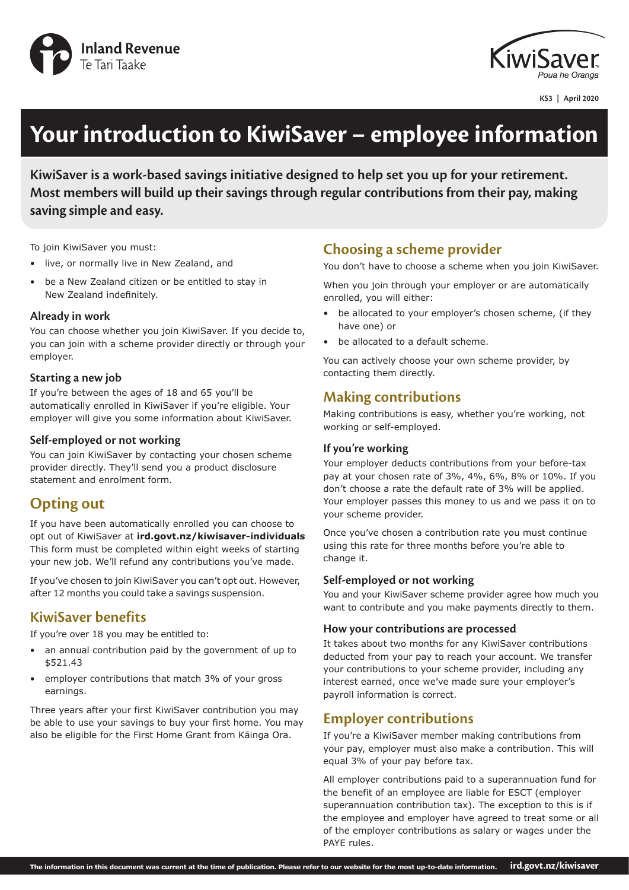



**KS3 | April 2020**

# **Your introduction to KiwiSaver – employee information**

**KiwiSaver is a work-based savings initiative designed to help set you up for your retirement. Most members will build up their savings through regular contributions from their pay, making saving simple and easy.**

To join KiwiSaver you must:

- live, or normally live in New Zealand, and
- be a New Zealand citizen or be entitled to stay in New Zealand indefinitely.

#### **Already in work**

You can choose whether you join KiwiSaver. If you decide to, you can join with a scheme provider directly or through your employer.

#### **Starting a new job**

If you're between the ages of 18 and 65 you'll be automatically enrolled in KiwiSaver if you're eligible. Your employer will give you some information about KiwiSaver.

#### **Self-employed or not working**

You can join KiwiSaver by contacting your chosen scheme provider directly. They'll send you a product disclosure statement and enrolment form.

# **Opting out**

If you have been automatically enrolled you can choose to opt out of KiwiSaver at **ird.govt.nz/kiwisaver-individuals** This form must be completed within eight weeks of starting your new job. We'll refund any contributions you've made.

If you've chosen to join KiwiSaver you can't opt out. However, after 12 months you could take a savings suspension.

# **KiwiSaver benefits**

If you're over 18 you may be entitled to:

- an annual contribution paid by the government of up to \$521.43
- employer contributions that match 3% of your gross earnings.

Three years after your first KiwiSaver contribution you may be able to use your savings to buy your first home. You may also be eligible for the First Home Grant from Kāinga Ora.

# **Choosing a scheme provider**

You don't have to choose a scheme when you join KiwiSaver.

When you join through your employer or are automatically enrolled, you will either:

- be allocated to your employer's chosen scheme, (if they have one) or
- be allocated to a default scheme.

You can actively choose your own scheme provider, by contacting them directly.

## **Making contributions**

Making contributions is easy, whether you're working, not working or self-employed.

#### **If you're working**

Your employer deducts contributions from your before-tax pay at your chosen rate of 3%, 4%, 6%, 8% or 10%. If you don't choose a rate the default rate of 3% will be applied. Your employer passes this money to us and we pass it on to your scheme provider.

Once you've chosen a contribution rate you must continue using this rate for three months before you're able to change it.

#### **Self-employed or not working**

You and your KiwiSaver scheme provider agree how much you want to contribute and you make payments directly to them.

#### **How your contributions are processed**

It takes about two months for any KiwiSaver contributions deducted from your pay to reach your account. We transfer your contributions to your scheme provider, including any interest earned, once we've made sure your employer's payroll information is correct.

## **Employer contributions**

If you're a KiwiSaver member making contributions from your pay, employer must also make a contribution. This will equal 3% of your pay before tax.

All employer contributions paid to a superannuation fund for the benefit of an employee are liable for ESCT (employer superannuation contribution tax). The exception to this is if the employee and employer have agreed to treat some or all of the employer contributions as salary or wages under the PAYE rules.